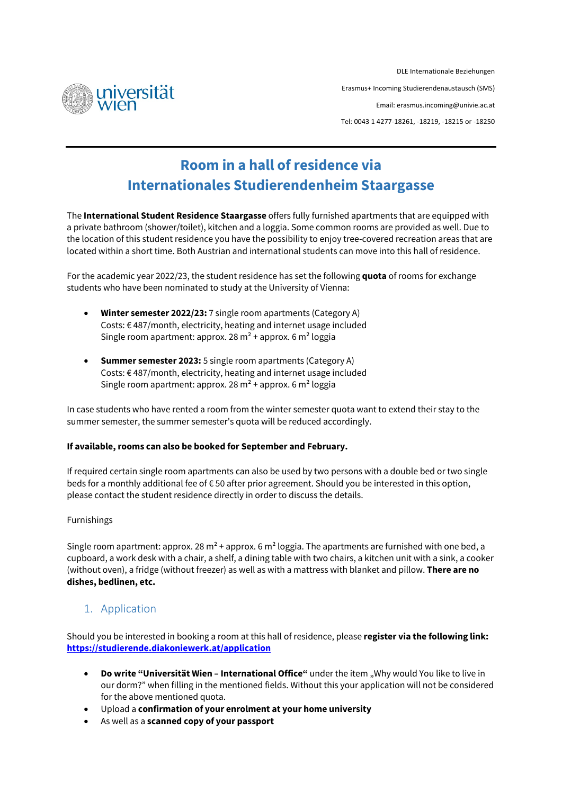

DLE Internationale Beziehungen Erasmus+ Incoming Studierendenaustausch (SMS) Email[: erasmus.incoming@univie.ac.at](mailto:erasmus.incoming@univie.ac.at) Tel: 0043 1 4277-18261, -18219, -18215 or -18250

# **Room in a hall of residence via Internationales Studierendenheim Staargasse**

The **International Student Residence Staargasse** offers fully furnished apartments that are equipped with a private bathroom (shower/toilet), kitchen and a loggia. Some common rooms are provided as well. Due to the location of this student residence you have the possibility to enjoy tree-covered recreation areas that are located within a short time. Both Austrian and international students can move into this hall of residence.

For the academic year 2022/23, the student residence has set the following **quota** of rooms for exchange students who have been nominated to study at the University of Vienna:

- **Winter semester 2022/23:** 7 single room apartments (Category A) Costs: € 487/month, electricity, heating and internet usage included Single room apartment: approx. 28  $m^2$  + approx. 6  $m^2$  loggia
- **Summer semester 2023:** 5 single room apartments (Category A) Costs: € 487/month, electricity, heating and internet usage included Single room apartment: approx.  $28 \text{ m}^2$  + approx.  $6 \text{ m}^2$  loggia

In case students who have rented a room from the winter semester quota want to extend their stay to the summer semester, the summer semester's quota will be reduced accordingly.

## **If available, rooms can also be booked for September and February.**

If required certain single room apartments can also be used by two persons with a double bed or two single beds for a monthly additional fee of € 50 after prior agreement. Should you be interested in this option, please contact the student residence directly in order to discuss the details.

## Furnishings

Single room apartment: approx. 28 m<sup>2</sup> + approx. 6 m<sup>2</sup> loggia. The apartments are furnished with one bed, a cupboard, a work desk with a chair, a shelf, a dining table with two chairs, a kitchen unit with a sink, a cooker (without oven), a fridge (without freezer) as well as with a mattress with blanket and pillow. **There are no dishes, bedlinen, etc.**

# 1. Application

Should you be interested in booking a room at this hall of residence, please **register via the following link: <https://studierende.diakoniewerk.at/application>**

- **Do write "Universität Wien – International Office"** under the item "Why would You like to live in our dorm?" when filling in the mentioned fields. Without this your application will not be considered for the above mentioned quota.
- Upload a **confirmation of your enrolment at your home university**
- As well as a **scanned copy of your passport**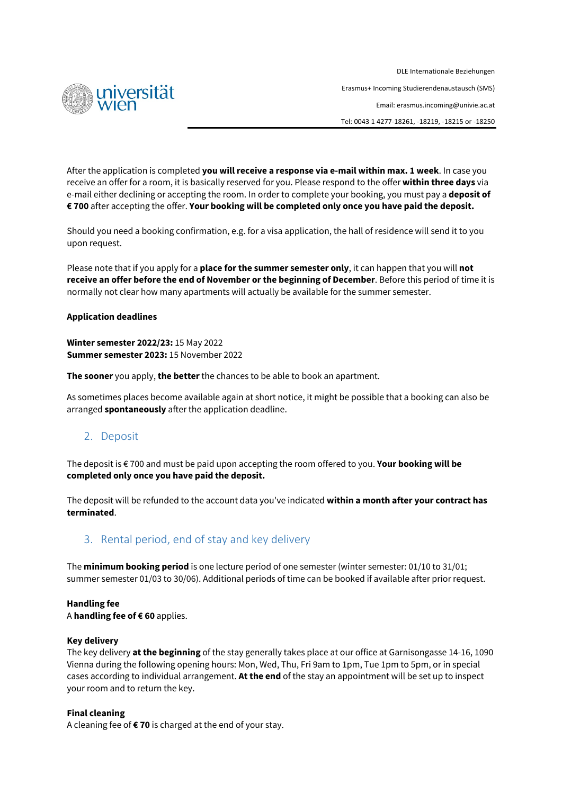

DLE Internationale Beziehungen Erasmus+ Incoming Studierendenaustausch (SMS) Email[: erasmus.incoming@univie.ac.at](mailto:erasmus.incoming@univie.ac.at) Tel: 0043 1 4277-18261, -18219, -18215 or -18250

After the application is completed **you will receive a response via e-mail within max. 1 week**. In case you receive an offer for a room, it is basically reserved for you. Please respond to the offer **within three days** via e-mail either declining or accepting the room. In order to complete your booking, you must pay a **deposit of € 700** after accepting the offer. **Your booking will be completed only once you have paid the deposit.**

Should you need a booking confirmation, e.g. for a visa application, the hall of residence will send it to you upon request.

Please note that if you apply for a **place for the summer semester only**, it can happen that you will **not receive an offer before the end of November or the beginning of December**. Before this period of time it is normally not clear how many apartments will actually be available for the summer semester.

#### **Application deadlines**

**Winter semester 2022/23:** 15 May 2022 **Summer semester 2023:** 15 November 2022

**The sooner** you apply, **the better**the chances to be able to book an apartment.

As sometimes places become available again at short notice, it might be possible that a booking can also be arranged **spontaneously** after the application deadline.

# 2. Deposit

The deposit is € 700 and must be paid upon accepting the room offered to you. **Your booking will be completed only once you have paid the deposit.**

The deposit will be refunded to the account data you've indicated **within a month after your contract has terminated**.

# 3. Rental period, end of stay and key delivery

The **minimum booking period** is one lecture period of one semester (winter semester: 01/10 to 31/01; summer semester 01/03 to 30/06). Additional periods of time can be booked if available after prior request.

## **Handling fee**

A **handling fee of € 60** applies.

#### **Key delivery**

The key delivery **at the beginning** of the stay generally takes place at our office at Garnisongasse 14-16, 1090 Vienna during the following opening hours: Mon, Wed, Thu, Fri 9am to 1pm, Tue 1pm to 5pm, or in special cases according to individual arrangement. **At the end** of the stay an appointment will be set up to inspect your room and to return the key.

#### **Final cleaning**

A cleaning fee of **€ 70** is charged at the end of your stay.